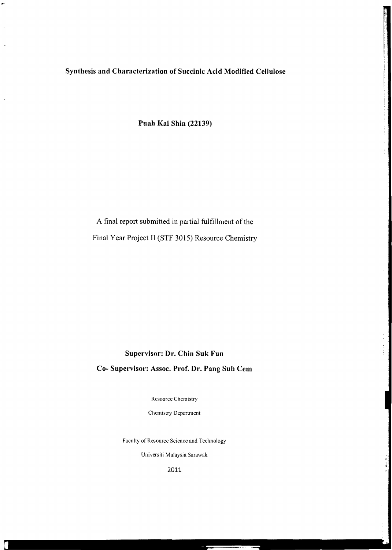**Synthesis and Characterization of Succinic Acid Modified Cellulose** 

**Puah Kai Shin (22139)** 

# A final report submitted in partial fulfillment of the Final Year Project II (STF 3015) Resource Chemistry

# **Supervisor: Dr. Chin Suk Fun Co- Supervisor: Assoc. Prof. Dr. Pang Suh Cern**

Resource Chemistry

Chemistry Department

Faculty of Resource Science and Technology

Universiti Malaysia Sarawak

2011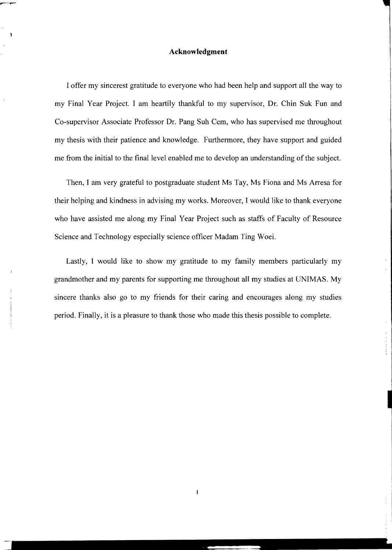#### **Acknowledgment**

I offer my sincerest gratitude to everyone who had been help and support all the way to my Final Year Project. I am heartily thankful to my supervisor, Dr. Chin Suk Fun and Co-supervisor Associate Professor Dr. Pang Suh Cern, who has supervised me throughout my thesis with their patience and knowledge. Furthermore, they have support and guided me from the initial to the final level enabled me to develop an understanding of the subject.

Then, I am very grateful to postgraduate student Ms Tay, Ms Fiona and Ms Arresa for their helping and kindness in advising my works. Moreover, I would like to thank everyone who have assisted me along my Final Year Project such as staffs of Faculty of Resource Science and Technology especially science officer Madam Ting Woei.

Lastly, I would like to show my gratitude to my family members particularly my grandmother and my parents for supporting me throughout all my studies at UNIMAS. My sincere thanks also go to my friends for their caring and encourages along my studies period. Finally, it is a pleasure to thank those who made this thesis possible to complete.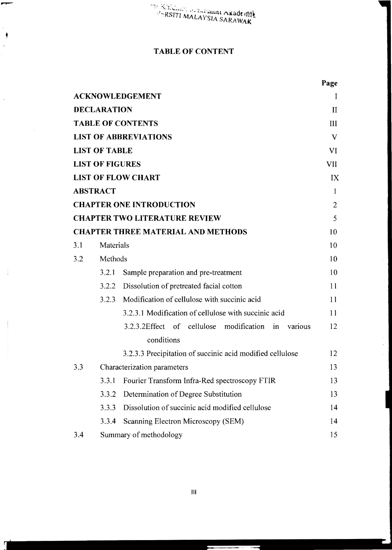# TABLE OF CONTENT

|     |                        |                                                                           | Page           |
|-----|------------------------|---------------------------------------------------------------------------|----------------|
|     |                        | <b>ACKNOWLEDGEMENT</b>                                                    | 1              |
|     | <b>DECLARATION</b>     |                                                                           | $_{\rm II}$    |
|     |                        | <b>TABLE OF CONTENTS</b>                                                  | III            |
|     |                        | <b>LIST OF ABBREVIATIONS</b>                                              | V              |
|     | <b>LIST OF TABLE</b>   |                                                                           | VI             |
|     | <b>LIST OF FIGURES</b> |                                                                           | <b>VII</b>     |
|     |                        | <b>LIST OF FLOW CHART</b>                                                 | IX             |
|     | <b>ABSTRACT</b>        |                                                                           | 1              |
|     |                        | <b>CHAPTER ONE INTRODUCTION</b>                                           | $\overline{2}$ |
|     |                        | <b>CHAPTER TWO LITERATURE REVIEW</b>                                      | 5              |
|     |                        | <b>CHAPTER THREE MATERIAL AND METHODS</b>                                 | 10             |
| 3.1 | Materials              |                                                                           | 10             |
| 3.2 | Methods                |                                                                           | 10             |
|     | 3.2.1                  | Sample preparation and pre-treatment                                      | 10             |
|     | 3.2.2                  | Dissolution of pretreated facial cotton                                   | 11             |
|     | 3.2.3                  | Modification of cellulose with succinic acid                              | 11             |
|     |                        | 3.2.3.1 Modification of cellulose with succinic acid                      | 11             |
|     |                        | 3.2.3.2Effect of cellulose<br>modification<br>various<br>in<br>conditions | 12             |
|     |                        | 3.2.3.3 Precipitation of succinic acid modified cellulose                 | 12             |
| 3.3 |                        | Characterization parameters                                               | 13             |
|     | 3.3.1                  | Fourier Transform Infra-Red spectroscopy FTIR                             | 13             |
|     | 3.3.2                  | Determination of Degree Substitution                                      | 13             |
|     | 3.3.3                  | Dissolution of succinic acid modified cellulose                           | 14             |
|     | 3.3.4                  | Scanning Electron Microscopy (SEM)                                        | 14             |
| 3.4 |                        | Summary of methodology                                                    | 15             |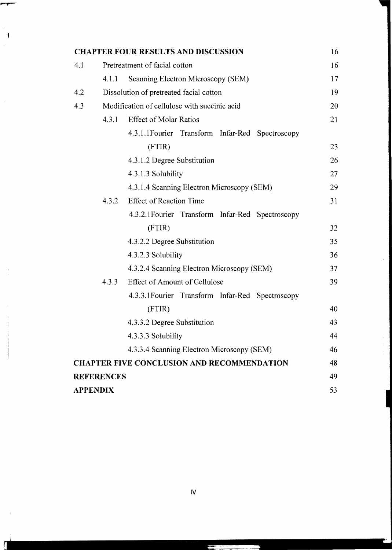|                 |                                              | <b>CHAPTER FOUR RESULTS AND DISCUSSION</b>        | 16 |
|-----------------|----------------------------------------------|---------------------------------------------------|----|
| 4.1             |                                              | Pretreatment of facial cotton                     | 16 |
|                 | 4.1.1                                        | Scanning Electron Microscopy (SEM)                | 17 |
| 4.2             |                                              | Dissolution of pretreated facial cotton           | 19 |
| 4.3             | Modification of cellulose with succinic acid |                                                   | 20 |
|                 | 4.3.1                                        | <b>Effect of Molar Ratios</b>                     | 21 |
|                 |                                              | 4.3.1.1 Fourier Transform Infar-Red Spectroscopy  |    |
|                 |                                              | (FTIR)                                            | 23 |
|                 |                                              | 4.3.1.2 Degree Substitution                       | 26 |
|                 |                                              | 4.3.1.3 Solubility                                | 27 |
|                 |                                              | 4.3.1.4 Scanning Electron Microscopy (SEM)        | 29 |
|                 | 4.3.2                                        | <b>Effect of Reaction Time</b>                    | 31 |
|                 |                                              | 4.3.2.1 Fourier Transform Infar-Red Spectroscopy  |    |
|                 |                                              | (FTIR)                                            | 32 |
|                 |                                              | 4.3.2.2 Degree Substitution                       | 35 |
|                 |                                              | 4.3.2.3 Solubility                                | 36 |
|                 |                                              | 4.3.2.4 Scanning Electron Microscopy (SEM)        | 37 |
|                 | 4.3.3                                        | <b>Effect of Amount of Cellulose</b>              | 39 |
|                 |                                              | 4.3.3.1 Fourier Transform Infar-Red Spectroscopy  |    |
|                 |                                              | (FTIR)                                            | 40 |
|                 |                                              | 4.3.3.2 Degree Substitution                       | 43 |
|                 |                                              | 4.3.3.3 Solubility                                | 44 |
|                 |                                              | 4.3.3.4 Scanning Electron Microscopy (SEM)        | 46 |
|                 |                                              | <b>CHAPTER FIVE CONCLUSION AND RECOMMENDATION</b> | 48 |
|                 | <b>REFERENCES</b>                            |                                                   | 49 |
| <b>APPENDIX</b> |                                              |                                                   | 53 |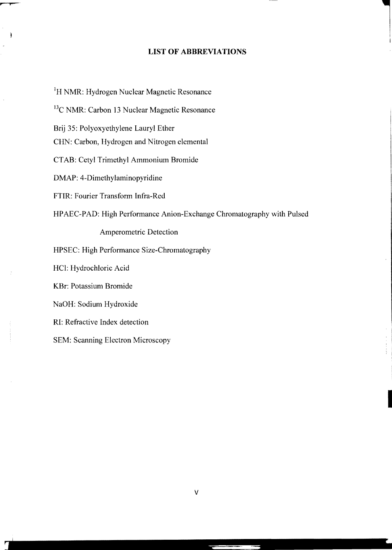### **LIST OF ABBREVIATIONS**

<sup>1</sup>H NMR: Hydrogen Nuclear Magnetic Resonance <sup>13</sup>C NMR: Carbon 13 Nuclear Magnetic Resonance Brij 35: Polyoxyethylene Lauryl Ether CHN: Carbon, Hydrogen and Nitrogen elemental CTAB: Cetyl Trimethyl Ammonium Bromide DMAP: 4-Dimethylaminopyridine FTIR: Fourier Transform Infra-Red HPAEC-PAD: High Performance Anion-Exchange Chromatography with Pulsed Amperometric Detection HPSEC: High Performance Size-Chromatography HCl: Hydrochloric Acid KBr: Potassium Bromide NaOH: Sodium Hydroxide RI: Refractive Index detection SEM: Scanning Electron Microscopy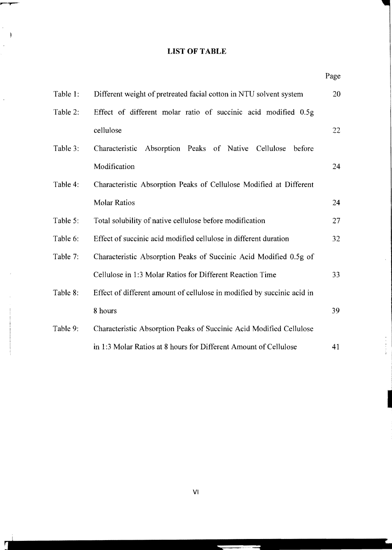# **LIST OF TABLE**

|          |                                                                         | Page |
|----------|-------------------------------------------------------------------------|------|
| Table 1: | Different weight of pretreated facial cotton in NTU solvent system      | 20   |
| Table 2: | Effect of different molar ratio of succinic acid modified 0.5g          |      |
|          | cellulose                                                               | 22   |
| Table 3: | Characteristic<br>Absorption Peaks of Native<br>Cellulose<br>before     |      |
|          | Modification                                                            | 24   |
| Table 4: | Characteristic Absorption Peaks of Cellulose Modified at Different      |      |
|          | <b>Molar Ratios</b>                                                     | 24   |
| Table 5: | Total solubility of native cellulose before modification                | 27   |
| Table 6: | Effect of succinic acid modified cellulose in different duration        | 32   |
| Table 7: | Characteristic Absorption Peaks of Succinic Acid Modified 0.5g of       |      |
|          | Cellulose in 1:3 Molar Ratios for Different Reaction Time               | 33   |
| Table 8: | Effect of different amount of cellulose in modified by succinic acid in |      |
|          | 8 hours                                                                 | 39   |
| Table 9: | Characteristic Absorption Peaks of Succinic Acid Modified Cellulose     |      |
|          | in 1:3 Molar Ratios at 8 hours for Different Amount of Cellulose        | 41   |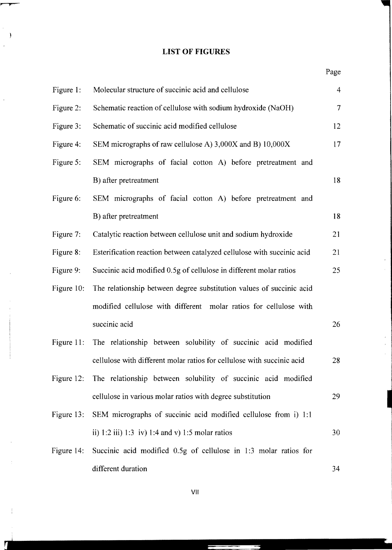# **LIST OF FIGURES**

# Page

| Figure 1:  | Molecular structure of succinic acid and cellulose                       | $\overline{4}$ |
|------------|--------------------------------------------------------------------------|----------------|
| Figure 2:  | Schematic reaction of cellulose with sodium hydroxide (NaOH)             | $\tau$         |
| Figure 3:  | Schematic of succinic acid modified cellulose                            | 12             |
| Figure 4:  | SEM micrographs of raw cellulose A) 3,000X and B) 10,000X                | 17             |
| Figure 5:  | SEM micrographs of facial cotton A) before pretreatment and              |                |
|            | B) after pretreatment                                                    | 18             |
| Figure 6:  | SEM micrographs of facial cotton A) before pretreatment and              |                |
|            | B) after pretreatment                                                    | 18             |
| Figure 7:  | Catalytic reaction between cellulose unit and sodium hydroxide           | 21             |
| Figure 8:  | Esterification reaction between catalyzed cellulose with succinic acid   | 21             |
| Figure 9:  | Succinic acid modified 0.5g of cellulose in different molar ratios       | 25             |
| Figure 10: | The relationship between degree substitution values of succinic acid     |                |
|            | modified cellulose with different molar ratios for cellulose with        |                |
|            | succinic acid                                                            | 26             |
| Figure 11: | The relationship between solubility of succinic acid modified            |                |
|            | cellulose with different molar ratios for cellulose with succinic acid   | 28             |
|            | Figure 12: The relationship between solubility of succinic acid modified |                |
|            | cellulose in various molar ratios with degree substitution               | 29             |
| Figure 13: | SEM micrographs of succinic acid modified cellulose from i) 1:1          |                |
|            | ii) 1:2 iii) 1:3 iv) 1:4 and v) 1:5 molar ratios                         | 30             |
| Figure 14: | Succinic acid modified 0.5g of cellulose in 1:3 molar ratios for         |                |
|            | different duration                                                       | 34             |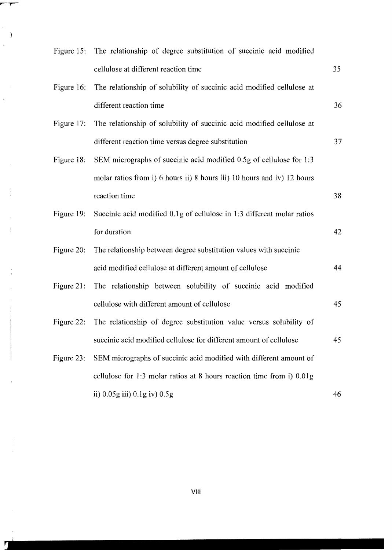|               | Figure 15: The relationship of degree substitution of succinic acid modified |    |
|---------------|------------------------------------------------------------------------------|----|
|               | cellulose at different reaction time                                         | 35 |
| Figure 16:    | The relationship of solubility of succinic acid modified cellulose at        |    |
|               | different reaction time                                                      | 36 |
| Figure 17:    | The relationship of solubility of succinic acid modified cellulose at        |    |
|               | different reaction time versus degree substitution                           | 37 |
| Figure 18:    | SEM micrographs of succinic acid modified 0.5g of cellulose for 1:3          |    |
|               | molar ratios from i) 6 hours ii) 8 hours iii) 10 hours and iv) 12 hours      |    |
|               | reaction time                                                                | 38 |
| Figure 19:    | Succinic acid modified 0.1g of cellulose in 1:3 different molar ratios       |    |
|               | for duration                                                                 | 42 |
| Figure $20$ : | The relationship between degree substitution values with succinic            |    |
|               | acid modified cellulose at different amount of cellulose                     | 44 |
| Figure 21:    | The relationship between solubility of succinic acid modified                |    |
|               | cellulose with different amount of cellulose                                 | 45 |
| Figure 22:    | The relationship of degree substitution value versus solubility of           |    |
|               | succinic acid modified cellulose for different amount of cellulose           | 45 |
| Figure 23:    | SEM micrographs of succinic acid modified with different amount of           |    |
|               | cellulose for 1:3 molar ratios at 8 hours reaction time from i) 0.01g        |    |
|               | ii) $0.05g$ iii) $0.1g$ iv) $0.5g$                                           | 46 |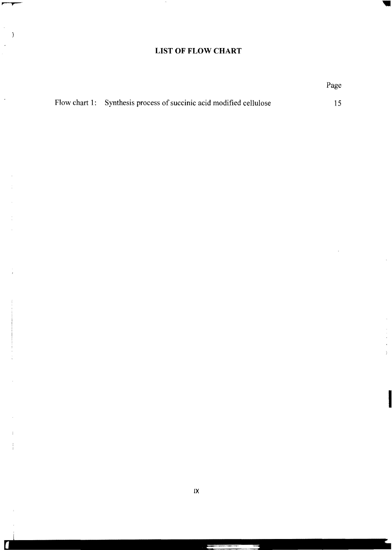# **LIST OF FLOW CHART**

|                                                                     | Page |
|---------------------------------------------------------------------|------|
| Flow chart 1: Synthesis process of succinic acid modified cellulose |      |

 $\overline{\phantom{a}}$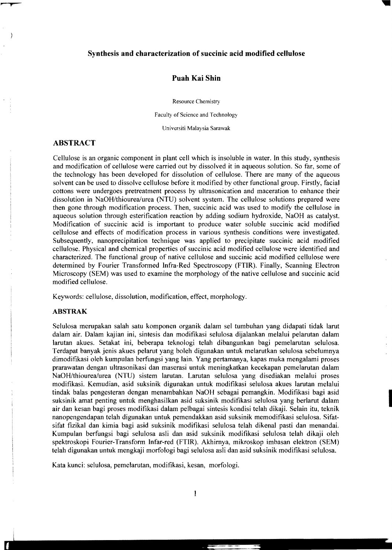### **Synthesis and characterization of succinic acid modified cellulose**

## **Puah Kai Shin**

Resource Chemistry

Faculty of Science and Technology

Universiti Malaysia Sarawak

# **ABSTRACT**

Cellulose is an organic component in plant cell which is insoluble in water. In this study, synthesis and modification of cellulose were carried out by dissolved it in aqueous solution. So far, some of the technology has been developed for dissolution of cellulose. There are many of the aqueous solvent can be used to dissolve cellulose before it modified by other functional group. Firstly, facial cottons were undergoes pretreatment process by ultrasonication and maceration to enhance their dissolution in NaOH/thiourea/urea (NTU) solvent system. The cellulose solutions prepared were then gone through modification process. Then, succinic acid was used to modify the cellulose in aqueous solution through esterification reaction by adding sodium hydroxide, NaOH as catalyst. Modification of succinic acid is important to produce water soluble succinic acid modified cellulose and effects of modification process in various synthesis conditions were investigated. Subsequently, nanoprecipitation technique was applied to precipitate succinic acid modified cellulose. Physical and chemical properties of succinic acid modified cellulose were identified and characterized. The functional group of native cellulose and succinic acid modified cellulose were determined by Fourier Transformed Infra-Red Spectroscopy (FTIR). Finally, Scanning Electron Microscopy (SEM) was used to examine the morphology of the native cellulose and succinic acid modified cellulose.

Keywords: cellulose, dissolution, modification, effect, morphology.

### **ABSTRAK**

Selulosa merupakan salah satu komponen organik dalam sel tumbuhan yang didapati tidak larut dalam air. Dalam kajian ini, sintesis dan modifikasi selulosa dijalankan melalui pelarutan dalam larutan akues. Setakat ini, beberapa teknologi telah dibangunkan bagi pemelarutan selulosa. Terdapat banyak jenis akues pelarut yang boleh digunakan untuk melarutkan selulosa sebelumnya dimodifikasi oleh kumpulan berfungsi yang lain. Yang pertamanya, kapas muka mengalami proses prarawatan dengan ultrasonikasi dan maserasi untuk meningkatkan kecekapan pemelarutan dalam NaOH/thiourea/urea (NTU) sistem larutan. Larutan selulosa yang disediakan melalui proses modifikasi. Kemudian, asid suksinik digunakan untuk modifikasi selulosa akues larutan melalui tindak balas pengesteran dengan menambahkan NaOH sebagai pemangkin. Modifikasi bagi asid suksinik amat penting untuk menghasilkan asid suksinik modifikasi selulosa yang berlarut dalam air dan kesan bagi proses modifikasi dalam pelbagai sintesis kondisi telah dikaji. Selain itu, teknik nanopengendapan telah digunakan untuk pemendakkan asid suksinik memodifikasi selulosa. Sifatsifat fizikal dan kimia bagi asid suksinik modifikasi selulosa telah dikenal pasti dan menandai. Kumpulan berfungsi bagi selulosa asli dan asid suksinik modifikasi selulosa telah dikaji oleh spektroskopi Fourier-Transform Infar-red (FTIR). Akhirnya, mikroskop imbasan elektron (SEM) telah digunakan untuk mengkaji morfologi bagi selulosa asli dan asid suksinik modifikasi selulosa.

Kata kunci: selulosa, pemelarutan, modifikasi, kesan, morfologi.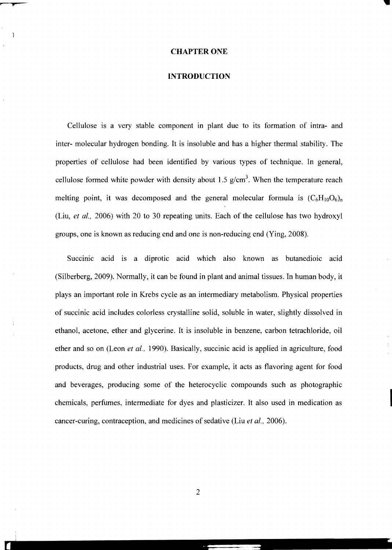#### CHAPTER ONE

#### **INTRODUCTION**

Cellulose is a very stable component in plant due to its formation of intra- and inter- molecular hydrogen bonding. It is insoluble and has a higher thermal stability. The properties of cellulose had been identified by various types of technique. In general, cellulose formed white powder with density about 1.5  $g/cm<sup>3</sup>$ . When the temperature reach melting point, it was decomposed and the general molecular formula is  $(C_6H_{10}O_6)_{n}$ (Liu, *et ai.,* 2006) with 20 to 30 repeating units. Each of the cellulose has two hydroxyl groups, one is known as reducing end and one is non-reducing end (Ying, 2008).

Succinic acid is a diprotic acid which also known as butanedioic acid (Silberberg, 2009). Normally, it can be found in plant and animal tissues. In human body, it plays an important role in Krebs cycle as an intermediary metabolism. Physical properties of succinic acid includes colorless crystalline solid, soluble in water, slightly dissolved in ethanol, acetone, ether and glycerine. It is insoluble in benzene, carbon tetrachloride, oil ether and so on (Leon *et* aI., 1990). Basically, succinic acid is applied in agriculture, food products, drug and other industrial uses. For example, it acts as flavoring agent for food and beverages, producing some of the heterocyclic compounds such as photographic chemicals, perfumes, intermediate for dyes and plasticizer. It also used in medication as cancer-curing, contraception, and medicines of sedative (Liu *et ai.,* 2006).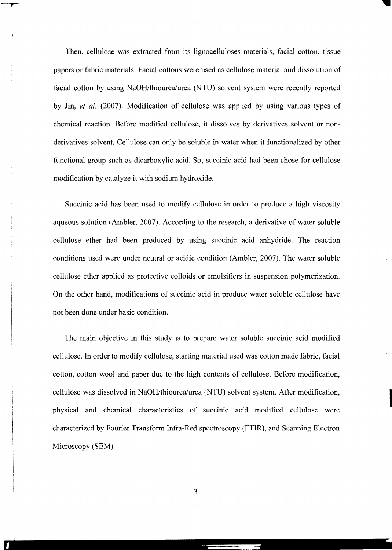Then, cellulose was extracted from its lignocelluloses materials, facial cotton, tissue papers or fabric materials. Facial cottons were used as cellulose material and dissolution of facial cotton by using NaOH/thiourea/urea (NTU) solvent system were recently reported by Jin, *et al.* (2007). Modification of cellulose was applied by using various types of chemical reaction. Before modified cellulose, it dissolves by derivatives solvent or nonderivatives solvent. Cellulose can only be soluble in water when it functionalized by other functional group such as dicarboxylic acid. So, succinic acid had been chose for cellulose modification by catalyze it with sodium hydroxide.

Succinic acid has been used to modify cellulose in order to produce a high viscosity aqueous solution (Ambler, 2007). According to the research, a derivative of water soluble cellulose ether had been produced by using succinic acid anhydride. The reaction conditions used were under neutral or acidic condition (Ambler, 2007). The water soluble cellulose ether applied as protective colloids or emulsifiers in suspension polymerization. On the other hand, modifications of succinic acid in produce water soluble cellulose have not been done under basic condition.

The main objective in this study is to prepare water soluble succinic acid modified cellulose. In order to modify cellulose, starting material used was cotton made fabric, facial cotton, cotton wool and paper due to the high contents of cellulose. Before modification, cellulose was dissolved in NaOH/thiourea/urea (NTU) solvent system. After modification, physical and chemical characteristics of succinic acid modified cellulose were characterized by Fourier Transform Infra-Red spectroscopy (FTIR), and Scanning Electron Microscopy (SEM).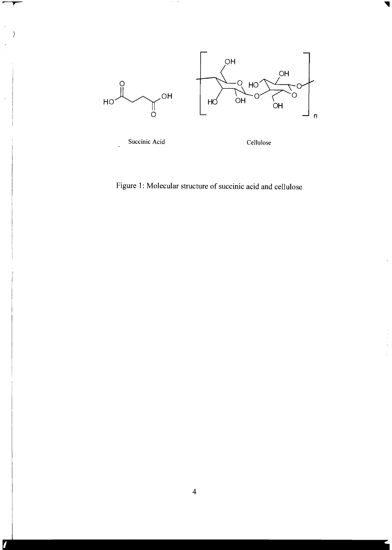

Figure 1: Molecular structure of succinic acid and cellulose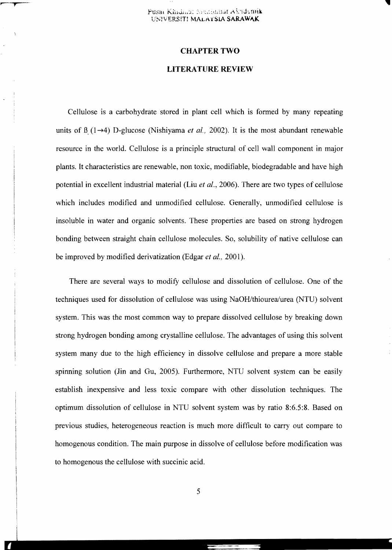#### CHAPTER TWO

#### LITERATURE REVIEW

Cellulose is a carbohydrate stored in plant cell which is formed by many repeating units of *B*  $(1\rightarrow 4)$  D-glucose (Nishiyama *et al.,* 2002). It is the most abundant renewable resource in the world. Cellulose is a principle structural of cell wall component in major plants. It characteristics are renewable, non toxic, modifiable, biodegradable and have high potential in excellent industrial material (Liu *et al.,* 2006). There are two types of cellulose which includes modified and unmodified cellulose. Generally, unmodified cellulose is insoluble in water and organic solvents. These properties are based on strong hydrogen bonding between straight chain cellulose molecules. So, solubility of native cellulose can be improved by modified derivatization (Edgar *et al., 2001).* 

There are several ways to modify cellulose and dissolution of cellulose. One of the techniques used for dissolution of cellulose was using *NaOH/thiourealurea* (NTU) solvent system. This was the most common way to prepare dissolved cellulose by breaking down strong hydrogen bonding among crystalline cellulose. The advantages of using this solvent system many due to the high efficiency in dissolve cellulose and prepare a more stable spinning solution (Jin and Gu, 2005). Furthermore, NTU solvent system can be easily establish inexpensive and less toxic compare with other dissolution techniques. The optimum dissolution of cellulose in NTU solvent system was by ratio 8:6.5:8. Based on previous studies, heterogeneous reaction is much more difficult to carry out compare to homogenous condition. The main purpose in dissolve of cellulose before modification was to homogenous the cellulose with succinic acid.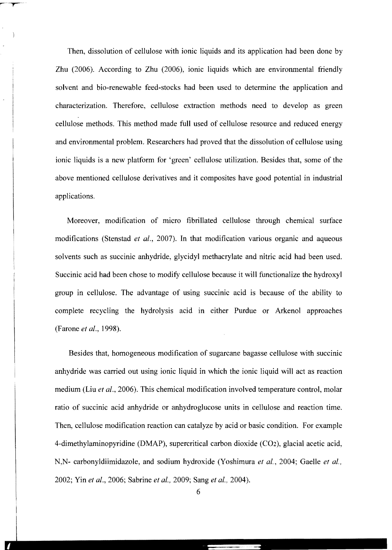Then, dissolution of cellulose with ionic liquids and its application had been done by Zhu (2006). According to Zhu (2006), ionic liquids which are environmental friendly solvent and bio-renewable feed-stocks had been used to determine the application and characterization. Therefore, cellulose extraction methods need to develop as green cellulose methods. This method made full used of cellulose resource and reduced energy and environmental problem. Researchers had proved that the dissolution of cellulose using ionic liquids is a new platform for 'green' cellulose utilization. Besides that, some of the above mentioned cellulose derivatives and it composites have good potential in industrial applications.

Moreover, modification of micro fibrillated cellulose through chemical surface modifications (Stenstad *et al.,* 2007). In that modification various organic and aqueous solvents such as succinic anhydride, glycidyl methacrylate and nitric acid had been used. Succinic acid had been chose to modify cellulose because it will functionalize the hydroxyl group in cellulose. The advantage of using succinic acid is because of the ability to complete recycling the hydrolysis acid in either Purdue or Arkenol approaches (Farone *et al., 1998).* 

Besides that, homogeneous modification of sugarcane bagasse cellulose with succinic anhydride was carried out using ionic liquid in which the ionic liquid will act as reaction medium (Liu *et al.,* 2006). This chemical modification involved temperature control, molar ratio of succinic acid anhydride or anhydroglucose units in cellulose and reaction time. Then, cellulose modification reaction can catalyze by acid or basic condition. For example 4-dimethylaminopyridine (DMAP), supercritical carbon dioxide (C02), glacial acetic acid, N,N- carbonyldiimidazole, and sodium hydroxide (Yoshimura et al., 2004; Gaelle et al., 2002; Yin *et al.,* 2006; Sabrine *et al.,* 2009; Sang *et al., 2004).*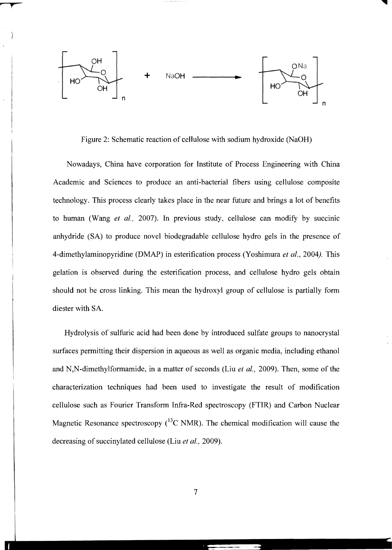

Figure 2: Schematic reaction of cellulose with sodium hydroxide (NaOH)

Nowadays, China have corporation for Institute of Process Engineering with China Academic and Sciences to produce an anti-bacterial fibers using cellulose composite technology. This process clearly takes place in the near future and brings a lot of benefits to human (Wang *et al.,* 2007). In previous study, cellulose can modify by succinic anhydride (SA) to produce novel biodegradable cellulose hydro gels in the presence of 4-dimethylaminopyridine (DMAP) in esterification process (Yoshimura *et al.,* 2004). This gelation is observed during the esterification process, and cellulose hydro gels obtain should not be cross linking. This mean the hydroxyl group of cellulose is partially form diester with SA

Hydrolysis of sulfuric acid had been done by introduced sulfate groups to nanocrystal surfaces permitting their dispersion in aqueous as well as organic media, including ethanol and N,N-dimethylformamide, in a matter of seconds (Liu *et al.,* 2009). Then, some of the characterization techniques had been used to investigate the result of modification cellulose such as Fourier Transform Infra-Red spectroscopy (FTIR) and Carbon Nuclear Magnetic Resonance spectroscopy  $\binom{13}{1}$ C NMR). The chemical modification will cause the decreasing of succinylated cellulose (Liu et al., 2009).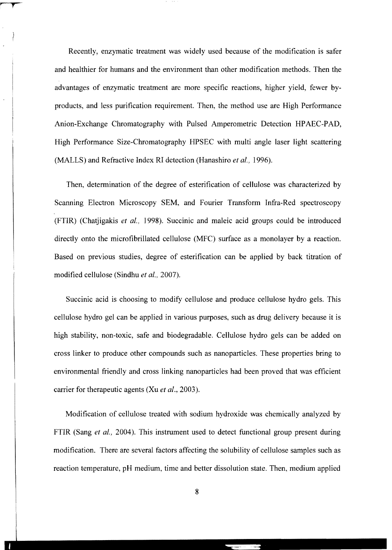Recently, enzymatic treatment was widely used because of the modification is safer and healthier for humans and the environment than other modification methods. Then the advantages of enzymatic treatment are more specific reactions, higher yield, fewer byproducts, and less purification requirement. Then, the method use are High Performance Anion-Exchange Chromatography with Pulsed Amperometric Detection HPAEC-PAD, High Performance Size-Chromatography HPSEC with multi angle laser light scattering (MALLS) and Refractive Index RI detection (Hanashiro *et al., 1996).* 

Then, determination of the degree of esterification of cellulose was characterized by Scanning Electron Microscopy SEM, and Fourier Transform Infra-Red spectroscopy (FTIR) (Chatjigakis *et* aI., 1998). Succinic and maleic acid groups could be introduced directly onto the microfibrillated cellulose (MFC) surface as a monolayer by a reaction. Based on previous studies, degree of esterification can be applied by back titration of modified cellulose (Sindhu *et al.,* 2007).

Succinic acid is choosing to modify cellulose and produce cellulose hydro gels. This cellulose hydro gel can be applied in various purposes, such as drug delivery because it is high stability, non-toxic, safe and biodegradable. Cellulose hydro gels can be added on cross linker to produce other compounds such as nanoparticles. These properties bring to environmental friendly and cross linking nanoparticles had been proved that was efficient carrier for therapeutic agents (Xu *et al.,* 2003).

Modification of cellulose treated with sodium hydroxide was chemically analyzed by FTIR (Sang *et ai.,* 2004). This instrument used to detect functional group present during modification. There are several factors affecting the solubility of cellulose samples such as reaction temperature, pH medium, time and better dissolution state. Then, medium applied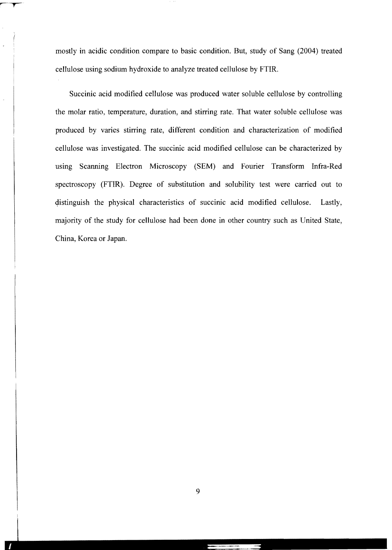mostly in acidic condition compare to basic condition. But, study of Sang (2004) treated cellulose using sodium hydroxide to analyze treated cellulose by FTIR.

Succinic acid modified cellulose was produced water soluble cellulose by controlling the molar ratio, temperature, duration, and stirring rate. That water soluble cellulose was produced by varies stirring rate, different condition and characterization of modified cellulose was investigated. The succinic acid modified cellulose can be characterized by using Scanning Electron Microscopy (SEM) and Fourier Transform Infra-Red spectroscopy (FTIR). Degree of substitution and solubility test were carried out to distinguish the physical characteristics of succinic acid modified cellulose. Lastly, majority of the study for cellulose had been done in other country such as United State, China, Korea or Japan.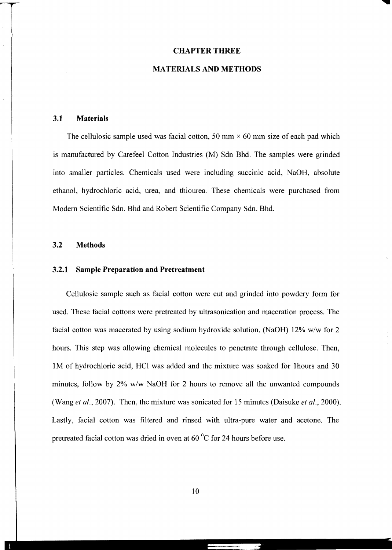#### **CHAPTER THREE**

#### **MATERIALS AND METHODS**

#### **3.1 Materials**

The cellulosic sample used was facial cotton, 50 mm  $\times$  60 mm size of each pad which is manufactured by Carefeel Cotton Industries (M) Sdn Bhd. The samples were grinded into smaller particles. Chemicals used were including succinic acid, NaOH, absolute ethanol, hydrochloric acid, urea, and thiourea. These chemicals were purchased from Modem Scientific Sdn. Bhd and Robert Scientific Company Sdn. Bhd.

#### **3.2 Methods**

#### **3.2.1 Sample Preparation and Pretreatment**

Cellulosic sample such as facial cotton were cut and grinded into powdery form for used. These facial cottons were pretreated by ultrasonication and maceration process. The facial cotton was macerated by using sodium hydroxide solution, (NaOH) 12% *w/w* for 2 hours. This step was allowing chemical molecules to penetrate through cellulose. Then, 1M of hydrochloric acid, HCI was added and the mixture was soaked for Ihours and 30 minutes, follow by 2% *w/w* NaOH for 2 hours to remove all the unwanted compounds (Wang *et al.,* 2007). Then, the mixture was sonicated for 15 minutes (Daisuke *et al., 2000).*  Lastly, facial cotton was filtered and rinsed with ultra-pure water and acetone. The pretreated facial cotton was dried in oven at 60°C for 24 hours before use.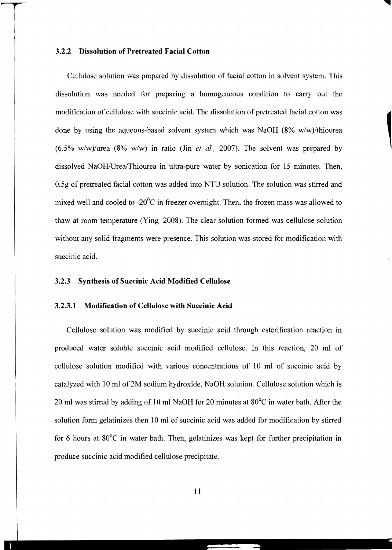### 3.2.2 Dissolution of Pretreated Facial Cotton

Cellulose solution was prepared by dissolution of facial cotton in solvent system. This dissolution was needed for preparing a homogeneous condition to carry out the modification of cellulose with succinic acid. The dissolution of pretreated facial cotton was done by using the aqueous-based solvent system which was NaOH (8% w/w)/thiourea *(6.5% w/w)/urea* (8% *w/w)* in ratio (Jin *et al.,* 2007). The solvent was prepared by dissolved NaOH/Urea/Thiourea in ultra-pure water by sonication for 15 minutes. Then, 0.5g of pretreated facial cotton was added into NTU solution. The solution was stirred and mixed well and cooled to  $-20^{\circ}$ C in freezer overnight. Then, the frozen mass was allowed to thaw at room temperature (Ying, 2008). The clear solution formed was cellulose solution without any solid fragments were presence. This solution was stored for modification with succinic acid.

### 3.2.3 Synthesis of Succinic Acid Modified Cellulose

#### 3.2.3.1 Modification of Cellulose with Succinic Acid

Cellulose solution was modified by succinic acid through esterification reaction in produced water soluble succinic acid modified cellulose. In this reaction, 20 ml of cellulose solution modified with various concentrations of 10 ml of succinic acid by catalyzed with 10 ml of 2M sodium hydroxide, NaOH solution. Cellulose solution which is 20 ml was stirred by adding of 10 ml NaOH for 20 minutes at 80°C in water bath. After the solution form gelatinizes then 10 ml of succinic acid was added for modification by stirred for 6 hours at 80°C in water bath. Then, gelatinizes was kept for further precipitation in produce succinic acid modified cellulose precipitate.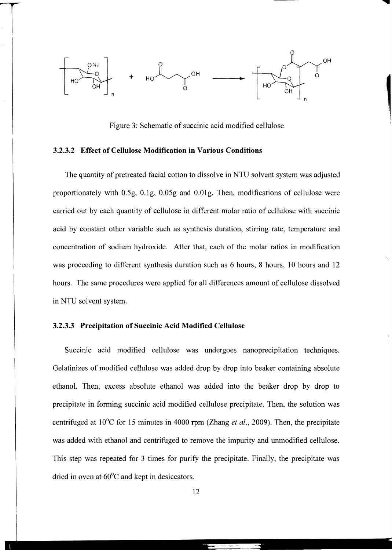

Figure 3: Schematic of succinic acid modified cellulose

#### 3.2.3.2 Effect of Cellulose Modification in Various Conditions

The quantity of pretreated facial cotton to dissolve in NTU solvent system was adjusted proportionately with 0.5g, O.lg, 0.05g and O.01g. Then, modifications of cellulose were carried out by each quantity of cellulose in different molar ratio of cellulose with succinic acid by constant other variable such as synthesis duration, stirring rate, temperature and concentration of sodium hydroxide. After that, each of the molar ratios in modification was proceeding to different synthesis duration such as 6 hours, 8 hours, 10 hours and 12 hours. The same procedures were applied for all differences amount of cellulose dissolved in NTU solvent system.

#### 3.2.3.3 Precipitation of Succinic Acid Modified Cellulose

Succinic acid modified cellulose was undergoes nanoprecipitation techniques. Gelatinizes of modified cellulose was added drop by drop into beaker containing absolute ethanol. Then, excess absolute ethanol was added into the beaker drop by drop to precipitate in forming succinic acid modified cellulose precipitate. Then, the solution was centrifuged at 10°C for 15 minutes in 4000 rpm (Zhang *et at.,* 2009). Then, the precipitate was added with ethanol and centrifuged to remove the impurity and unmodified cellulose. This step was repeated for 3 times for purify the precipitate. Finally, the precipitate was dried in oven at 60°C and kept in desiccators.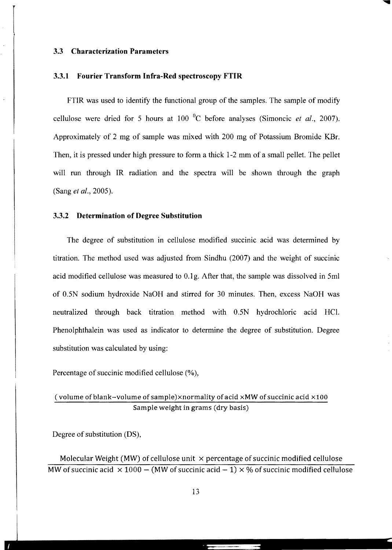#### **3.3 Characterization Parameters**

#### **3.3.1 Fourier Transform Infra-Red spectroscopy FTIR**

FTIR was used to identify the functional group of the samples. The sample of modify cellulose were dried for *S* hours at 100 °c before analyses (Simoncic *et al., 2007).*  Approximately of 2 mg of sample was mixed with 200 mg of Potassium Bromide KBf. Then, it is pressed under high pressure to form a thick 1-2 mm of a small pellet. The pellet will run through IR radiation and the spectra will be shown through the graph (Sang *et al., 200S).* 

#### **3.3.2 Determination of Degree Substitution**

The degree of substitution in cellulose modified succinic acid was determined by titration. The method used was adjusted from Sindhu (2007) and the weight of succinic acid modified cellulose was measured to 0.1 g. After that, the sample was dissolved in Sml of *O.SN* sodium hydroxide NaOH and stirred for 30 minutes. Then, excess NaOH was neutralized through back titration method with *O.SN* hydrochloric acid HC!. Phenolphthalein was used as indicator to determine the degree of substitution. Degree substitution was calculated by using:

Percentage of succinic modified cellulose (%),

## (volume of blank-volume of sample)x normality of acid xMW of succinic acid X100 Sample weight in grams (dry basis)

Degree of substitution (DS),

Molecular Weight (MW) of cellulose unit  $\times$  percentage of succinic modified cellulose MW of succinic acid  $\times 1000 - (MW$  of succinic acid  $-1) \times \%$  of succinic modified cellulose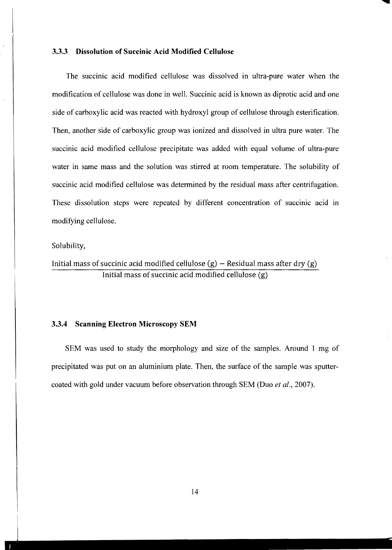#### **3.3.3 Dissolution of Succinic Acid Modified Cellulose**

The succinic acid modified cellulose was dissolved in ultra-pure water when the modification of cellulose was done in welL Succinic acid is known as diprotic acid and one side of carboxylic acid was reacted with hydroxyl group of cellulose through esterification. Then, another side of carboxylic group was ionized and dissolved in ultra pure water. The succinic acid modified cellulose precipitate was added with equal volume of ultra-pure water in same mass and the solution was stirred at room temperature. The solubility of succinic acid modified cellulose was determined by the residual mass after centrifugation. These dissolution steps were repeated by different concentration of succinic acid in modifying cellulose.

#### Solubility,

Initial mass of succinic acid modified cellulose  $(g)$  – Residual mass after dry  $(g)$ Initial mass of succinic acid modified cellulose (g)

#### **3.3.4 Scanning Electron Microscopy SEM**

SEM was used to study the morphology and size of the samples. Around 1 mg of precipitated was put on an aluminium plate. Then, the surface of the sample was sputtercoated with gold under vacuum before observation through SEM (Duo *et ai.,* 2007).